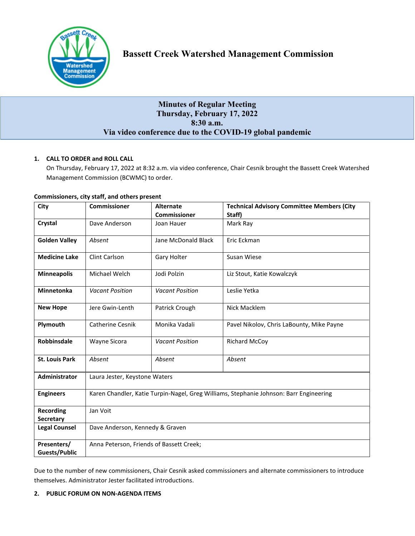

# **Minutes of Regular Meeting Thursday, February 17, 2022 8:30 a.m. Via video conference due to the COVID-19 global pandemic**

# **1. CALL TO ORDER and ROLL CALL**

On Thursday, February 17, 2022 at 8:32 a.m. via video conference, Chair Cesnik brought the Bassett Creek Watershed Management Commission (BCWMC) to order.

| City                                | <b>Commissioner</b>                                                                    | <b>Alternate</b>       | <b>Technical Advisory Committee Members (City</b> |
|-------------------------------------|----------------------------------------------------------------------------------------|------------------------|---------------------------------------------------|
|                                     |                                                                                        | <b>Commissioner</b>    | Staff)                                            |
| Crystal                             | Dave Anderson                                                                          | Joan Hauer             | Mark Ray                                          |
| <b>Golden Valley</b>                | Absent                                                                                 | Jane McDonald Black    | Eric Eckman                                       |
| <b>Medicine Lake</b>                | Clint Carlson                                                                          | Gary Holter            | Susan Wiese                                       |
| <b>Minneapolis</b>                  | Michael Welch                                                                          | Jodi Polzin            | Liz Stout, Katie Kowalczyk                        |
| <b>Minnetonka</b>                   | <b>Vacant Position</b>                                                                 | <b>Vacant Position</b> | Leslie Yetka                                      |
| <b>New Hope</b>                     | Jere Gwin-Lenth                                                                        | Patrick Crough         | Nick Macklem                                      |
| Plymouth                            | <b>Catherine Cesnik</b>                                                                | Monika Vadali          | Pavel Nikolov, Chris LaBounty, Mike Payne         |
| Robbinsdale                         | Wayne Sicora                                                                           | <b>Vacant Position</b> | <b>Richard McCoy</b>                              |
| <b>St. Louis Park</b>               | Absent                                                                                 | Absent                 | Absent                                            |
| <b>Administrator</b>                | Laura Jester, Keystone Waters                                                          |                        |                                                   |
| <b>Engineers</b>                    | Karen Chandler, Katie Turpin-Nagel, Greg Williams, Stephanie Johnson: Barr Engineering |                        |                                                   |
| Recording<br>Secretary              | Jan Voit                                                                               |                        |                                                   |
| <b>Legal Counsel</b>                | Dave Anderson, Kennedy & Graven                                                        |                        |                                                   |
| Presenters/<br><b>Guests/Public</b> | Anna Peterson, Friends of Bassett Creek;                                               |                        |                                                   |

### **Commissioners, city staff, and others present**

Due to the number of new commissioners, Chair Cesnik asked commissioners and alternate commissioners to introduce themselves. Administrator Jester facilitated introductions.

# **2. PUBLIC FORUM ON NON-AGENDA ITEMS**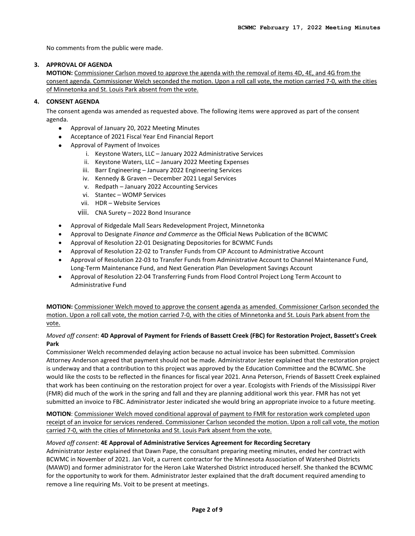No comments from the public were made.

## **3. APPROVAL OF AGENDA**

**MOTION:** Commissioner Carlson moved to approve the agenda with the removal of items 4D, 4E, and 4G from the consent agenda. Commissioner Welch seconded the motion. Upon a roll call vote, the motion carried 7-0, with the cities of Minnetonka and St. Louis Park absent from the vote.

# **4. CONSENT AGENDA**

The consent agenda was amended as requested above. The following items were approved as part of the consent agenda.

- Approval of January 20, 2022 Meeting Minutes
- Acceptance of 2021 Fiscal Year End Financial Report
- Approval of Payment of Invoices
	- i. Keystone Waters, LLC January 2022 Administrative Services
	- ii. Keystone Waters, LLC January 2022 Meeting Expenses
	- iii. Barr Engineering January 2022 Engineering Services
	- iv. Kennedy & Graven December 2021 Legal Services
	- v. Redpath January 2022 Accounting Services
	- vi. Stantec WOMP Services
	- vii. HDR Website Services
	- viii. CNA Surety 2022 Bond Insurance
- Approval of Ridgedale Mall Sears Redevelopment Project, Minnetonka
- Approval to Designate *Finance and Commerce* as the Official News Publication of the BCWMC
- Approval of Resolution 22-01 Designating Depositories for BCWMC Funds
- Approval of Resolution 22-02 to Transfer Funds from CIP Account to Administrative Account
- Approval of Resolution 22-03 to Transfer Funds from Administrative Account to Channel Maintenance Fund, Long-Term Maintenance Fund, and Next Generation Plan Development Savings Account
- Approval of Resolution 22-04 Transferring Funds from Flood Control Project Long Term Account to Administrative Fund

**MOTION:** Commissioner Welch moved to approve the consent agenda as amended. Commissioner Carlson seconded the motion. Upon a roll call vote, the motion carried 7-0, with the cities of Minnetonka and St. Louis Park absent from the vote.

# *Moved off consent*: **4D Approval of Payment for Friends of Bassett Creek (FBC) for Restoration Project, Bassett's Creek Park**

Commissioner Welch recommended delaying action because no actual invoice has been submitted. Commission Attorney Anderson agreed that payment should not be made. Administrator Jester explained that the restoration project is underway and that a contribution to this project was approved by the Education Committee and the BCWMC. She would like the costs to be reflected in the finances for fiscal year 2021. Anna Peterson, Friends of Bassett Creek explained that work has been continuing on the restoration project for over a year. Ecologists with Friends of the Mississippi River (FMR) did much of the work in the spring and fall and they are planning additional work this year. FMR has not yet submitted an invoice to FBC. Administrator Jester indicated she would bring an appropriate invoice to a future meeting.

**MOTION**: Commissioner Welch moved conditional approval of payment to FMR for restoration work completed upon receipt of an invoice for services rendered. Commissioner Carlson seconded the motion. Upon a roll call vote, the motion carried 7-0, with the cities of Minnetonka and St. Louis Park absent from the vote.

#### *Moved off consent*: **4E Approval of Administrative Services Agreement for Recording Secretary**

Administrator Jester explained that Dawn Pape, the consultant preparing meeting minutes, ended her contract with BCWMC in November of 2021. Jan Voit, a current contractor for the Minnesota Association of Watershed Districts (MAWD) and former administrator for the Heron Lake Watershed District introduced herself. She thanked the BCWMC for the opportunity to work for them. Administrator Jester explained that the draft document required amending to remove a line requiring Ms. Voit to be present at meetings.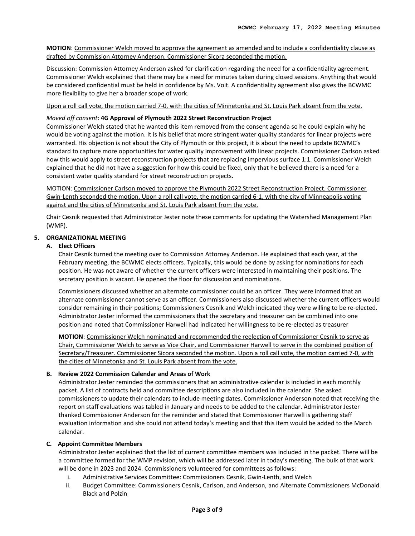**MOTION**: Commissioner Welch moved to approve the agreement as amended and to include a confidentiality clause as drafted by Commission Attorney Anderson. Commissioner Sicora seconded the motion.

Discussion: Commission Attorney Anderson asked for clarification regarding the need for a confidentiality agreement. Commissioner Welch explained that there may be a need for minutes taken during closed sessions. Anything that would be considered confidential must be held in confidence by Ms. Voit. A confidentiality agreement also gives the BCWMC more flexibility to give her a broader scope of work.

Upon a roll call vote, the motion carried 7-0, with the cities of Minnetonka and St. Louis Park absent from the vote.

# *Moved off consent*: **4G Approval of Plymouth 2022 Street Reconstruction Project**

Commissioner Welch stated that he wanted this item removed from the consent agenda so he could explain why he would be voting against the motion. It is his belief that more stringent water quality standards for linear projects were warranted. His objection is not about the City of Plymouth or this project, it is about the need to update BCWMC's standard to capture more opportunities for water quality improvement with linear projects. Commissioner Carlson asked how this would apply to street reconstruction projects that are replacing impervious surface 1:1. Commissioner Welch explained that he did not have a suggestion for how this could be fixed, only that he believed there is a need for a consistent water quality standard for street reconstruction projects.

MOTION: Commissioner Carlson moved to approve the Plymouth 2022 Street Reconstruction Project. Commissioner Gwin-Lenth seconded the motion. Upon a roll call vote, the motion carried 6-1, with the city of Minneapolis voting against and the cities of Minnetonka and St. Louis Park absent from the vote.

Chair Cesnik requested that Administrator Jester note these comments for updating the Watershed Management Plan (WMP).

## **5. ORGANIZATIONAL MEETING**

### **A. Elect Officers**

Chair Cesnik turned the meeting over to Commission Attorney Anderson. He explained that each year, at the February meeting, the BCWMC elects officers. Typically, this would be done by asking for nominations for each position. He was not aware of whether the current officers were interested in maintaining their positions. The secretary position is vacant. He opened the floor for discussion and nominations.

Commissioners discussed whether an alternate commissioner could be an officer. They were informed that an alternate commissioner cannot serve as an officer. Commissioners also discussed whether the current officers would consider remaining in their positions; Commissioners Cesnik and Welch indicated they were willing to be re-elected. Administrator Jester informed the commissioners that the secretary and treasurer can be combined into one position and noted that Commissioner Harwell had indicated her willingness to be re-elected as treasurer

**MOTION**: Commissioner Welch nominated and recommended the reelection of Commissioner Cesnik to serve as Chair, Commissioner Welch to serve as Vice Chair, and Commissioner Harwell to serve in the combined position of Secretary/Treasurer. Commissioner Sicora seconded the motion. Upon a roll call vote, the motion carried 7-0, with the cities of Minnetonka and St. Louis Park absent from the vote.

#### **B. Review 2022 Commission Calendar and Areas of Work**

Administrator Jester reminded the commissioners that an administrative calendar is included in each monthly packet. A list of contracts held and committee descriptions are also included in the calendar. She asked commissioners to update their calendars to include meeting dates. Commissioner Anderson noted that receiving the report on staff evaluations was tabled in January and needs to be added to the calendar. Administrator Jester thanked Commissioner Anderson for the reminder and stated that Commissioner Harwell is gathering staff evaluation information and she could not attend today's meeting and that this item would be added to the March calendar.

#### **C. Appoint Committee Members**

Administrator Jester explained that the list of current committee members was included in the packet. There will be a committee formed for the WMP revision, which will be addressed later in today's meeting. The bulk of that work will be done in 2023 and 2024. Commissioners volunteered for committees as follows:

- i. Administrative Services Committee: Commissioners Cesnik, Gwin-Lenth, and Welch
- ii. Budget Committee: Commissioners Cesnik, Carlson, and Anderson, and Alternate Commissioners McDonald Black and Polzin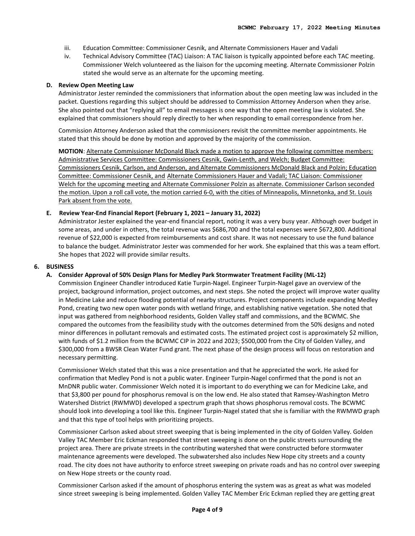- iii. Education Committee: Commissioner Cesnik, and Alternate Commissioners Hauer and Vadali
- iv. Technical Advisory Committee (TAC) Liaison: A TAC liaison is typically appointed before each TAC meeting. Commissioner Welch volunteered as the liaison for the upcoming meeting. Alternate Commissioner Polzin stated she would serve as an alternate for the upcoming meeting.

#### **D. Review Open Meeting Law**

Administrator Jester reminded the commissioners that information about the open meeting law was included in the packet. Questions regarding this subject should be addressed to Commission Attorney Anderson when they arise. She also pointed out that "replying all" to email messages is one way that the open meeting law is violated. She explained that commissioners should reply directly to her when responding to email correspondence from her.

Commission Attorney Anderson asked that the commissioners revisit the committee member appointments. He stated that this should be done by motion and approved by the majority of the commission.

**MOTION**: Alternate Commissioner McDonald Black made a motion to approve the following committee members: Administrative Services Committee: Commissioners Cesnik, Gwin-Lenth, and Welch; Budget Committee: Commissioners Cesnik, Carlson, and Anderson, and Alternate Commissioners McDonald Black and Polzin; Education Committee: Commissioner Cesnik, and Alternate Commissioners Hauer and Vadali; TAC Liaison: Commissioner Welch for the upcoming meeting and Alternate Commissioner Polzin as alternate. Commissioner Carlson seconded the motion. Upon a roll call vote, the motion carried 6-0, with the cities of Minneapolis, Minnetonka, and St. Louis Park absent from the vote.

### **E. Review Year-End Financial Report (February 1, 2021 – January 31, 2022)**

Administrator Jester explained the year-end financial report, noting it was a very busy year. Although over budget in some areas, and under in others, the total revenue was \$686,700 and the total expenses were \$672,800. Additional revenue of \$22,000 is expected from reimbursements and cost share. It was not necessary to use the fund balance to balance the budget. Administrator Jester was commended for her work. She explained that this was a team effort. She hopes that 2022 will provide similar results.

#### **6. BUSINESS**

#### **A. Consider Approval of 50% Design Plans for Medley Park Stormwater Treatment Facility (ML-12)**

Commission Engineer Chandler introduced Katie Turpin-Nagel. Engineer Turpin-Nagel gave an overview of the project, background information, project outcomes, and next steps. She noted the project will improve water quality in Medicine Lake and reduce flooding potential of nearby structures. Project components include expanding Medley Pond, creating two new open water ponds with wetland fringe, and establishing native vegetation. She noted that input was gathered from neighborhood residents, Golden Valley staff and commissions, and the BCWMC. She compared the outcomes from the feasibility study with the outcomes determined from the 50% designs and noted minor differences in pollutant removals and estimated costs. The estimated project cost is approximately \$2 million, with funds of \$1.2 million from the BCWMC CIP in 2022 and 2023; \$500,000 from the City of Golden Valley, and \$300,000 from a BWSR Clean Water Fund grant. The next phase of the design process will focus on restoration and necessary permitting.

Commissioner Welch stated that this was a nice presentation and that he appreciated the work. He asked for confirmation that Medley Pond is not a public water. Engineer Turpin-Nagel confirmed that the pond is not an MnDNR public water. Commissioner Welch noted it is important to do everything we can for Medicine Lake, and that \$3,800 per pound for phosphorus removal is on the low end. He also stated that Ramsey-Washington Metro Watershed District (RWMWD) developed a spectrum graph that shows phosphorus removal costs. The BCWMC should look into developing a tool like this. Engineer Turpin-Nagel stated that she is familiar with the RWMWD graph and that this type of tool helps with prioritizing projects.

Commissioner Carlson asked about street sweeping that is being implemented in the city of Golden Valley. Golden Valley TAC Member Eric Eckman responded that street sweeping is done on the public streets surrounding the project area. There are private streets in the contributing watershed that were constructed before stormwater maintenance agreements were developed. The subwatershed also includes New Hope city streets and a county road. The city does not have authority to enforce street sweeping on private roads and has no control over sweeping on New Hope streets or the county road.

Commissioner Carlson asked if the amount of phosphorus entering the system was as great as what was modeled since street sweeping is being implemented. Golden Valley TAC Member Eric Eckman replied they are getting great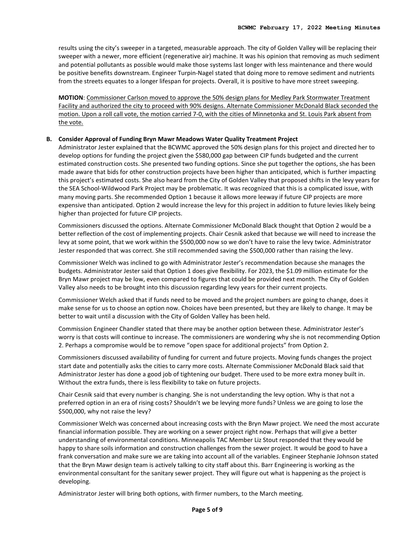results using the city's sweeper in a targeted, measurable approach. The city of Golden Valley will be replacing their sweeper with a newer, more efficient (regenerative air) machine. It was his opinion that removing as much sediment and potential pollutants as possible would make those systems last longer with less maintenance and there would be positive benefits downstream. Engineer Turpin-Nagel stated that doing more to remove sediment and nutrients from the streets equates to a longer lifespan for projects. Overall, it is positive to have more street sweeping.

**MOTION**: Commissioner Carlson moved to approve the 50% design plans for Medley Park Stormwater Treatment Facility and authorized the city to proceed with 90% designs. Alternate Commissioner McDonald Black seconded the motion. Upon a roll call vote, the motion carried 7-0, with the cities of Minnetonka and St. Louis Park absent from the vote.

### **B. Consider Approval of Funding Bryn Mawr Meadows Water Quality Treatment Project**

Administrator Jester explained that the BCWMC approved the 50% design plans for this project and directed her to develop options for funding the project given the \$580,000 gap between CIP funds budgeted and the current estimated construction costs. She presented two funding options. Since she put together the options, she has been made aware that bids for other construction projects have been higher than anticipated, which is further impacting this project's estimated costs. She also heard from the City of Golden Valley that proposed shifts in the levy years for the SEA School-Wildwood Park Project may be problematic. It was recognized that this is a complicated issue, with many moving parts. She recommended Option 1 because it allows more leeway if future CIP projects are more expensive than anticipated. Option 2 would increase the levy for this project in addition to future levies likely being higher than projected for future CIP projects.

Commissioners discussed the options. Alternate Commissioner McDonald Black thought that Option 2 would be a better reflection of the cost of implementing projects. Chair Cesnik asked that because we will need to increase the levy at some point, that we work within the \$500,000 now so we don't have to raise the levy twice. Administrator Jester responded that was correct. She still recommended saving the \$500,000 rather than raising the levy.

Commissioner Welch was inclined to go with Administrator Jester's recommendation because she manages the budgets. Administrator Jester said that Option 1 does give flexibility. For 2023, the \$1.09 million estimate for the Bryn Mawr project may be low, even compared to figures that could be provided next month. The City of Golden Valley also needs to be brought into this discussion regarding levy years for their current projects.

Commissioner Welch asked that if funds need to be moved and the project numbers are going to change, does it make sense for us to choose an option now. Choices have been presented, but they are likely to change. It may be better to wait until a discussion with the City of Golden Valley has been held.

Commission Engineer Chandler stated that there may be another option between these. Administrator Jester's worry is that costs will continue to increase. The commissioners are wondering why she is not recommending Option 2. Perhaps a compromise would be to remove "open space for additional projects" from Option 2.

Commissioners discussed availability of funding for current and future projects. Moving funds changes the project start date and potentially asks the cities to carry more costs. Alternate Commissioner McDonald Black said that Administrator Jester has done a good job of tightening our budget. There used to be more extra money built in. Without the extra funds, there is less flexibility to take on future projects.

Chair Cesnik said that every number is changing. She is not understanding the levy option. Why is that not a preferred option in an era of rising costs? Shouldn't we be levying more funds? Unless we are going to lose the \$500,000, why not raise the levy?

Commissioner Welch was concerned about increasing costs with the Bryn Mawr project. We need the most accurate financial information possible. They are working on a sewer project right now. Perhaps that will give a better understanding of environmental conditions. Minneapolis TAC Member Liz Stout responded that they would be happy to share soils information and construction challenges from the sewer project. It would be good to have a frank conversation and make sure we are taking into account all of the variables. Engineer Stephanie Johnson stated that the Bryn Mawr design team is actively talking to city staff about this. Barr Engineering is working as the environmental consultant for the sanitary sewer project. They will figure out what is happening as the project is developing.

Administrator Jester will bring both options, with firmer numbers, to the March meeting.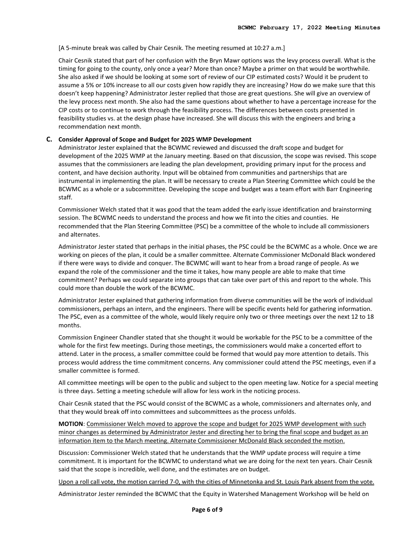# [A 5-minute break was called by Chair Cesnik. The meeting resumed at 10:27 a.m.]

Chair Cesnik stated that part of her confusion with the Bryn Mawr options was the levy process overall. What is the timing for going to the county, only once a year? More than once? Maybe a primer on that would be worthwhile. She also asked if we should be looking at some sort of review of our CIP estimated costs? Would it be prudent to assume a 5% or 10% increase to all our costs given how rapidly they are increasing? How do we make sure that this doesn't keep happening? Administrator Jester replied that those are great questions. She will give an overview of the levy process next month. She also had the same questions about whether to have a percentage increase for the CIP costs or to continue to work through the feasibility process. The differences between costs presented in feasibility studies vs. at the design phase have increased. She will discuss this with the engineers and bring a recommendation next month.

# **C. Consider Approval of Scope and Budget for 2025 WMP Development**

Administrator Jester explained that the BCWMC reviewed and discussed the draft scope and budget for development of the 2025 WMP at the January meeting. Based on that discussion, the scope was revised. This scope assumes that the commissioners are leading the plan development, providing primary input for the process and content, and have decision authority. Input will be obtained from communities and partnerships that are instrumental in implementing the plan. It will be necessary to create a Plan Steering Committee which could be the BCWMC as a whole or a subcommittee. Developing the scope and budget was a team effort with Barr Engineering staff.

Commissioner Welch stated that it was good that the team added the early issue identification and brainstorming session. The BCWMC needs to understand the process and how we fit into the cities and counties. He recommended that the Plan Steering Committee (PSC) be a committee of the whole to include all commissioners and alternates.

Administrator Jester stated that perhaps in the initial phases, the PSC could be the BCWMC as a whole. Once we are working on pieces of the plan, it could be a smaller committee. Alternate Commissioner McDonald Black wondered if there were ways to divide and conquer. The BCWMC will want to hear from a broad range of people. As we expand the role of the commissioner and the time it takes, how many people are able to make that time commitment? Perhaps we could separate into groups that can take over part of this and report to the whole. This could more than double the work of the BCWMC.

Administrator Jester explained that gathering information from diverse communities will be the work of individual commissioners, perhaps an intern, and the engineers. There will be specific events held for gathering information. The PSC, even as a committee of the whole, would likely require only two or three meetings over the next 12 to 18 months.

Commission Engineer Chandler stated that she thought it would be workable for the PSC to be a committee of the whole for the first few meetings. During those meetings, the commissioners would make a concerted effort to attend. Later in the process, a smaller committee could be formed that would pay more attention to details. This process would address the time commitment concerns. Any commissioner could attend the PSC meetings, even if a smaller committee is formed.

All committee meetings will be open to the public and subject to the open meeting law. Notice for a special meeting is three days. Setting a meeting schedule will allow for less work in the noticing process.

Chair Cesnik stated that the PSC would consist of the BCWMC as a whole, commissioners and alternates only, and that they would break off into committees and subcommittees as the process unfolds.

**MOTION**: Commissioner Welch moved to approve the scope and budget for 2025 WMP development with such minor changes as determined by Administrator Jester and directing her to bring the final scope and budget as an information item to the March meeting. Alternate Commissioner McDonald Black seconded the motion.

Discussion: Commissioner Welch stated that he understands that the WMP update process will require a time commitment. It is important for the BCWMC to understand what we are doing for the next ten years. Chair Cesnik said that the scope is incredible, well done, and the estimates are on budget.

Upon a roll call vote, the motion carried 7-0, with the cities of Minnetonka and St. Louis Park absent from the vote.

Administrator Jester reminded the BCWMC that the Equity in Watershed Management Workshop will be held on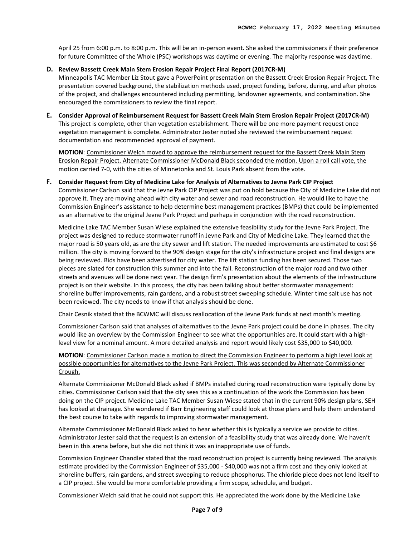April 25 from 6:00 p.m. to 8:00 p.m. This will be an in-person event. She asked the commissioners if their preference for future Committee of the Whole (PSC) workshops was daytime or evening. The majority response was daytime.

#### **D. Review Bassett Creek Main Stem Erosion Repair Project Final Report (2017CR-M)**

Minneapolis TAC Member Liz Stout gave a PowerPoint presentation on the Bassett Creek Erosion Repair Project. The presentation covered background, the stabilization methods used, project funding, before, during, and after photos of the project, and challenges encountered including permitting, landowner agreements, and contamination. She encouraged the commissioners to review the final report.

# **E. Consider Approval of Reimbursement Request for Bassett Creek Main Stem Erosion Repair Project (2017CR-M)** This project is complete, other than vegetation establishment. There will be one more payment request once vegetation management is complete. Administrator Jester noted she reviewed the reimbursement request documentation and recommended approval of payment.

**MOTION**: Commissioner Welch moved to approve the reimbursement request for the Bassett Creek Main Stem Erosion Repair Project. Alternate Commissioner McDonald Black seconded the motion. Upon a roll call vote, the motion carried 7-0, with the cities of Minnetonka and St. Louis Park absent from the vote.

# **F. Consider Request from City of Medicine Lake for Analysis of Alternatives to Jevne Park CIP Project**

Commissioner Carlson said that the Jevne Park CIP Project was put on hold because the City of Medicine Lake did not approve it. They are moving ahead with city water and sewer and road reconstruction. He would like to have the Commission Engineer's assistance to help determine best management practices (BMPs) that could be implemented as an alternative to the original Jevne Park Project and perhaps in conjunction with the road reconstruction.

Medicine Lake TAC Member Susan Wiese explained the extensive feasibility study for the Jevne Park Project. The project was designed to reduce stormwater runoff in Jevne Park and City of Medicine Lake. They learned that the major road is 50 years old, as are the city sewer and lift station. The needed improvements are estimated to cost \$6 million. The city is moving forward to the 90% design stage for the city's infrastructure project and final designs are being reviewed. Bids have been advertised for city water. The lift station funding has been secured. Those two pieces are slated for construction this summer and into the fall. Reconstruction of the major road and two other streets and avenues will be done next year. The design firm's presentation about the elements of the infrastructure project is on their website. In this process, the city has been talking about better stormwater management: shoreline buffer improvements, rain gardens, and a robust street sweeping schedule. Winter time salt use has not been reviewed. The city needs to know if that analysis should be done.

Chair Cesnik stated that the BCWMC will discuss reallocation of the Jevne Park funds at next month's meeting.

Commissioner Carlson said that analyses of alternatives to the Jevne Park project could be done in phases. The city would like an overview by the Commission Engineer to see what the opportunities are. It could start with a highlevel view for a nominal amount. A more detailed analysis and report would likely cost \$35,000 to \$40,000.

# **MOTION**: Commissioner Carlson made a motion to direct the Commission Engineer to perform a high level look at possible opportunities for alternatives to the Jevne Park Project. This was seconded by Alternate Commissioner Crough.

Alternate Commissioner McDonald Black asked if BMPs installed during road reconstruction were typically done by cities. Commissioner Carlson said that the city sees this as a continuation of the work the Commission has been doing on the CIP project. Medicine Lake TAC Member Susan Wiese stated that in the current 90% design plans, SEH has looked at drainage. She wondered if Barr Engineering staff could look at those plans and help them understand the best course to take with regards to improving stormwater management.

Alternate Commissioner McDonald Black asked to hear whether this is typically a service we provide to cities. Administrator Jester said that the request is an extension of a feasibility study that was already done. We haven't been in this arena before, but she did not think it was an inappropriate use of funds.

Commission Engineer Chandler stated that the road reconstruction project is currently being reviewed. The analysis estimate provided by the Commission Engineer of \$35,000 - \$40,000 was not a firm cost and they only looked at shoreline buffers, rain gardens, and street sweeping to reduce phosphorus. The chloride piece does not lend itself to a CIP project. She would be more comfortable providing a firm scope, schedule, and budget.

Commissioner Welch said that he could not support this. He appreciated the work done by the Medicine Lake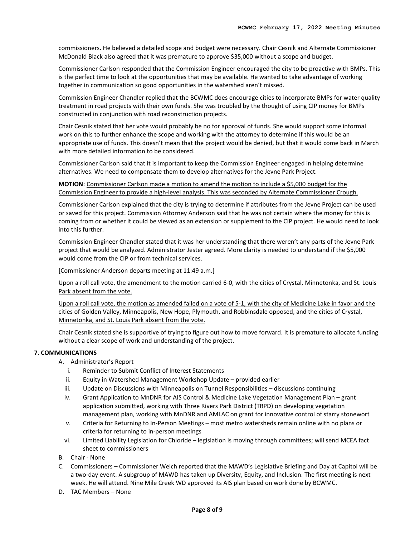commissioners. He believed a detailed scope and budget were necessary. Chair Cesnik and Alternate Commissioner McDonald Black also agreed that it was premature to approve \$35,000 without a scope and budget.

Commissioner Carlson responded that the Commission Engineer encouraged the city to be proactive with BMPs. This is the perfect time to look at the opportunities that may be available. He wanted to take advantage of working together in communication so good opportunities in the watershed aren't missed.

Commission Engineer Chandler replied that the BCWMC does encourage cities to incorporate BMPs for water quality treatment in road projects with their own funds. She was troubled by the thought of using CIP money for BMPs constructed in conjunction with road reconstruction projects.

Chair Cesnik stated that her vote would probably be no for approval of funds. She would support some informal work on this to further enhance the scope and working with the attorney to determine if this would be an appropriate use of funds. This doesn't mean that the project would be denied, but that it would come back in March with more detailed information to be considered.

Commissioner Carlson said that it is important to keep the Commission Engineer engaged in helping determine alternatives. We need to compensate them to develop alternatives for the Jevne Park Project.

**MOTION**: Commissioner Carlson made a motion to amend the motion to include a \$5,000 budget for the Commission Engineer to provide a high-level analysis. This was seconded by Alternate Commissioner Crough.

Commissioner Carlson explained that the city is trying to determine if attributes from the Jevne Project can be used or saved for this project. Commission Attorney Anderson said that he was not certain where the money for this is coming from or whether it could be viewed as an extension or supplement to the CIP project. He would need to look into this further.

Commission Engineer Chandler stated that it was her understanding that there weren't any parts of the Jevne Park project that would be analyzed. Administrator Jester agreed. More clarity is needed to understand if the \$5,000 would come from the CIP or from technical services.

[Commissioner Anderson departs meeting at 11:49 a.m.]

Upon a roll call vote, the amendment to the motion carried 6-0, with the cities of Crystal, Minnetonka, and St. Louis Park absent from the vote.

Upon a roll call vote, the motion as amended failed on a vote of 5-1, with the city of Medicine Lake in favor and the cities of Golden Valley, Minneapolis, New Hope, Plymouth, and Robbinsdale opposed, and the cities of Crystal, Minnetonka, and St. Louis Park absent from the vote.

Chair Cesnik stated she is supportive of trying to figure out how to move forward. It is premature to allocate funding without a clear scope of work and understanding of the project.

# **7. COMMUNICATIONS**

- A. Administrator's Report
	- i. Reminder to Submit Conflict of Interest Statements
	- ii. Equity in Watershed Management Workshop Update provided earlier
	- iii. Update on Discussions with Minneapolis on Tunnel Responsibilities discussions continuing
	- iv. Grant Application to MnDNR for AIS Control & Medicine Lake Vegetation Management Plan grant application submitted, working with Three Rivers Park District (TRPD) on developing vegetation management plan, working with MnDNR and AMLAC on grant for innovative control of starry stonewort
	- v. Criteria for Returning to In-Person Meetings most metro watersheds remain online with no plans or criteria for returning to in-person meetings
	- vi. Limited Liability Legislation for Chloride legislation is moving through committees; will send MCEA fact sheet to commissioners
- B. Chair None
- C. Commissioners Commissioner Welch reported that the MAWD's Legislative Briefing and Day at Capitol will be a two-day event. A subgroup of MAWD has taken up Diversity, Equity, and Inclusion. The first meeting is next week. He will attend. Nine Mile Creek WD approved its AIS plan based on work done by BCWMC.
- D. TAC Members None